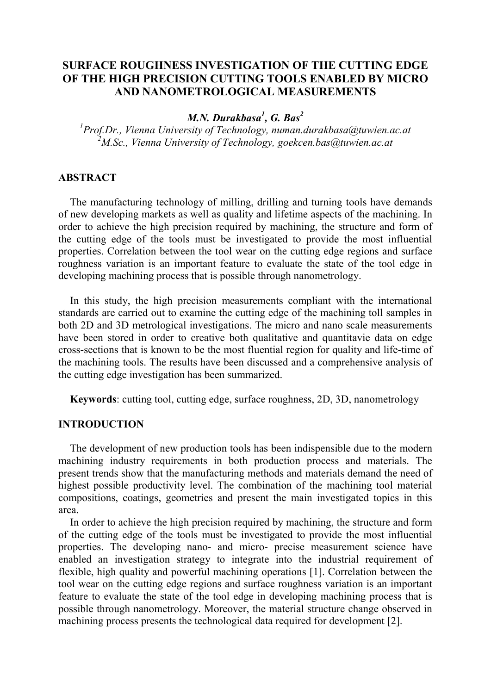# **SURFACE ROUGHNESS INVESTIGATION OF THE CUTTING EDGE OF THE HIGH PRECISION CUTTING TOOLS ENABLED BY MICRO AND NANOMETROLOGICAL MEASUREMENTS**

*M.N. Durakbasa<sup>1</sup> , G. Bas 2*

*1 Prof.Dr., Vienna University of Technology, [numan.durakbasa@tuwien.ac.at](mailto:numan.durakbasa@tuwien.ac.at) 2 M.Sc., Vienna University of Technology, goekcen.bas@tuwien.ac.at*

## **ABSTRACT**

The manufacturing technology of milling, drilling and turning tools have demands of new developing markets as well as quality and lifetime aspects of the machining. In order to achieve the high precision required by machining, the structure and form of the cutting edge of the tools must be investigated to provide the most influential properties. Correlation between the tool wear on the cutting edge regions and surface roughness variation is an important feature to evaluate the state of the tool edge in developing machining process that is possible through nanometrology.

In this study, the high precision measurements compliant with the international standards are carried out to examine the cutting edge of the machining toll samples in both 2D and 3D metrological investigations. The micro and nano scale measurements have been stored in order to creative both qualitative and quantitavie data on edge cross-sections that is known to be the most fluential region for quality and life-time of the machining tools. The results have been discussed and a comprehensive analysis of the cutting edge investigation has been summarized.

**Keywords**: cutting tool, cutting edge, surface roughness, 2D, 3D, nanometrology

#### **INTRODUCTION**

The development of new production tools has been indispensible due to the modern machining industry requirements in both production process and materials. The present trends show that the manufacturing methods and materials demand the need of highest possible productivity level. The combination of the machining tool material compositions, coatings, geometries and present the main investigated topics in this area.

In order to achieve the high precision required by machining, the structure and form of the cutting edge of the tools must be investigated to provide the most influential properties. The developing nano- and micro- precise measurement science have enabled an investigation strategy to integrate into the industrial requirement of flexible, high quality and powerful machining operations [1]. Correlation between the tool wear on the cutting edge regions and surface roughness variation is an important feature to evaluate the state of the tool edge in developing machining process that is possible through nanometrology. Moreover, the material structure change observed in machining process presents the technological data required for development [2].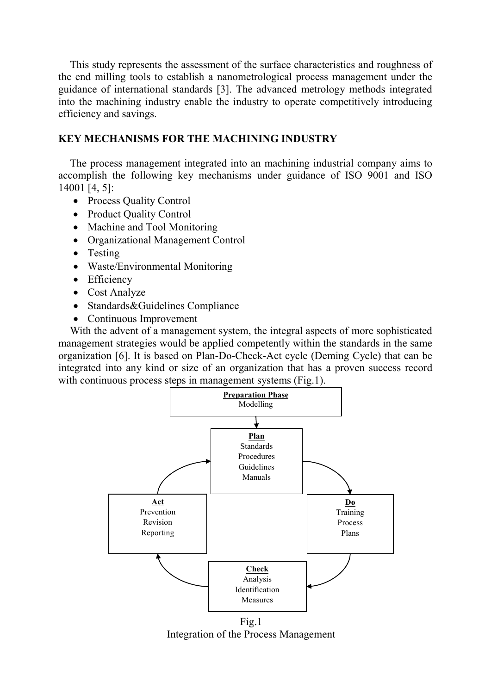This study represents the assessment of the surface characteristics and roughness of the end milling tools to establish a nanometrological process management under the guidance of international standards [3]. The advanced metrology methods integrated into the machining industry enable the industry to operate competitively introducing efficiency and savings.

## **KEY MECHANISMS FOR THE MACHINING INDUSTRY**

The process management integrated into an machining industrial company aims to accomplish the following key mechanisms under guidance of ISO 9001 and ISO 14001 [4, 5]:

- Process Quality Control
- Product Quality Control
- Machine and Tool Monitoring
- Organizational Management Control
- Testing
- Waste/Environmental Monitoring
- Efficiency
- Cost Analyze
- Standards&Guidelines Compliance
- Continuous Improvement

With the advent of a management system, the integral aspects of more sophisticated management strategies would be applied competently within the standards in the same organization [6]. It is based on Plan-Do-Check-Act cycle (Deming Cycle) that can be integrated into any kind or size of an organization that has a proven success record with continuous process steps in management systems (Fig.1).



Integration of the Process Management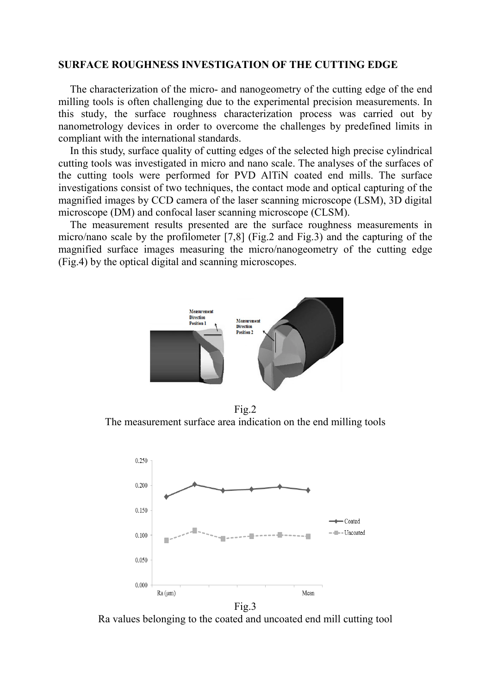#### **SURFACE ROUGHNESS INVESTIGATION OF THE CUTTING EDGE**

The characterization of the micro- and nanogeometry of the cutting edge of the end milling tools is often challenging due to the experimental precision measurements. In this study, the surface roughness characterization process was carried out by nanometrology devices in order to overcome the challenges by predefined limits in compliant with the international standards.

In this study, surface quality of cutting edges of the selected high precise cylindrical cutting tools was investigated in micro and nano scale. The analyses of the surfaces of the cutting tools were performed for PVD AlTiN coated end mills. The surface investigations consist of two techniques, the contact mode and optical capturing of the magnified images by CCD camera of the laser scanning microscope (LSM), 3D digital microscope (DM) and confocal laser scanning microscope (CLSM).

The measurement results presented are the surface roughness measurements in micro/nano scale by the profilometer [7,8] (Fig.2 and Fig.3) and the capturing of the magnified surface images measuring the micro/nanogeometry of the cutting edge (Fig.4) by the optical digital and scanning microscopes.



Fig.2 The measurement surface area indication on the end milling tools



Ra values belonging to the coated and uncoated end mill cutting tool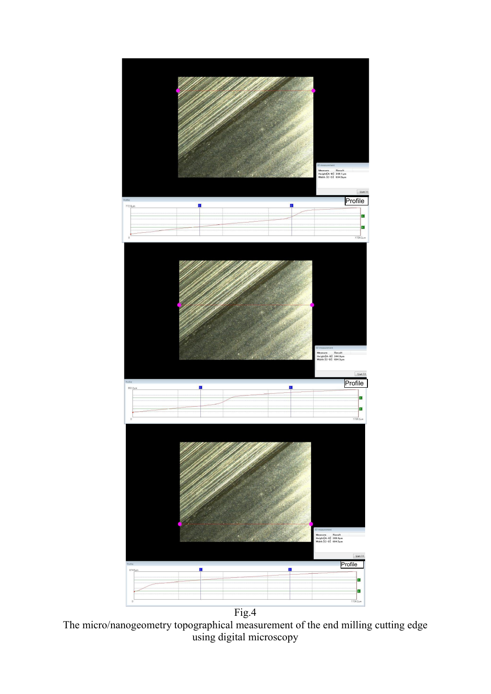

The micro/nanogeometry topographical measurement of the end milling cutting edge using digital microscopy